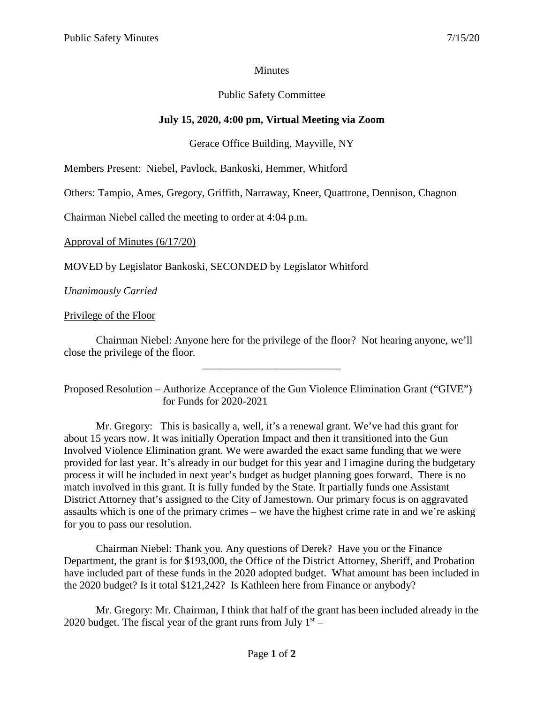## **Minutes**

## Public Safety Committee

# **July 15, 2020, 4:00 pm, Virtual Meeting via Zoom**

# Gerace Office Building, Mayville, NY

Members Present: Niebel, Pavlock, Bankoski, Hemmer, Whitford

Others: Tampio, Ames, Gregory, Griffith, Narraway, Kneer, Quattrone, Dennison, Chagnon

Chairman Niebel called the meeting to order at 4:04 p.m.

Approval of Minutes (6/17/20)

MOVED by Legislator Bankoski, SECONDED by Legislator Whitford

*Unanimously Carried*

### Privilege of the Floor

Chairman Niebel: Anyone here for the privilege of the floor? Not hearing anyone, we'll close the privilege of the floor.

\_\_\_\_\_\_\_\_\_\_\_\_\_\_\_\_\_\_\_\_\_\_\_\_\_\_

Proposed Resolution – Authorize Acceptance of the Gun Violence Elimination Grant ("GIVE") for Funds for 2020-2021

Mr. Gregory: This is basically a, well, it's a renewal grant. We've had this grant for about 15 years now. It was initially Operation Impact and then it transitioned into the Gun Involved Violence Elimination grant. We were awarded the exact same funding that we were provided for last year. It's already in our budget for this year and I imagine during the budgetary process it will be included in next year's budget as budget planning goes forward. There is no match involved in this grant. It is fully funded by the State. It partially funds one Assistant District Attorney that's assigned to the City of Jamestown. Our primary focus is on aggravated assaults which is one of the primary crimes – we have the highest crime rate in and we're asking for you to pass our resolution.

Chairman Niebel: Thank you. Any questions of Derek? Have you or the Finance Department, the grant is for \$193,000, the Office of the District Attorney, Sheriff, and Probation have included part of these funds in the 2020 adopted budget. What amount has been included in the 2020 budget? Is it total \$121,242? Is Kathleen here from Finance or anybody?

Mr. Gregory: Mr. Chairman, I think that half of the grant has been included already in the 2020 budget. The fiscal year of the grant runs from July  $1<sup>st</sup>$  –